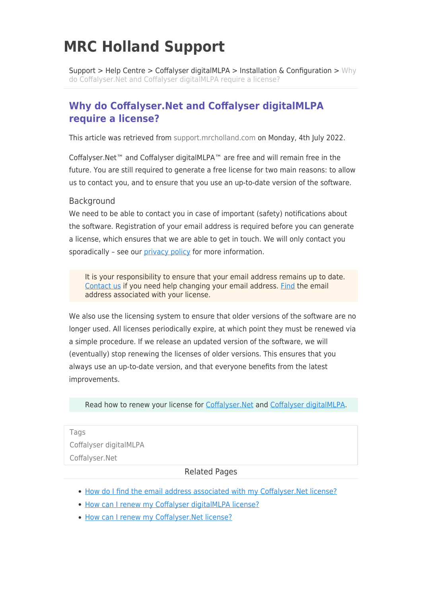# **MRC Holland Support**

[Support](https://support.mrcholland.com/) > [Help Centre](https://support.mrcholland.com/kb) > [Coffalyser digitalMLPA](https://support.mrcholland.com/kb/coffalyser-digitalmlpa) > [Installation & Configuration](https://support.mrcholland.com/kb/installation-configuration-2) >  $W$ hy [do Coffalyser.Net and Coffalyser digitalMLPA require a license?](https://support.mrcholland.com/kb/articles/why-do-coffalyser-net-and-coffalyser-digitalmlpa-require-a-license)

## **Why do Coffalyser.Net and Coffalyser digitalMLPA require a license?**

This article was retrieved from [support.mrcholland.com](https://support.mrcholland.com) on Monday, 4th July 2022.

Coffalyser.Net™ and Coffalyser digitalMLPA™ are free and will remain free in the future. You are still required to generate a free license for two main reasons: to allow us to contact you, and to ensure that you use an up-to-date version of the software.

#### **Background**

We need to be able to contact you in case of important (safety) notifications about the software. Registration of your email address is required before you can generate a license, which ensures that we are able to get in touch. We will only contact you sporadically - see our [privacy policy](https://www.mrcholland.com/privacy) for more information.

It is your responsibility to ensure that your email address remains up to date. [Contact us](https://support.mrcholland.com/new-ticket) if you need help changing your email address. [Find](https://support.mrcholland.com/kb/articles/148) the email address associated with your license.

We also use the licensing system to ensure that older versions of the software are no longer used. All licenses periodically expire, at which point they must be renewed via a simple procedure. If we release an updated version of the software, we will (eventually) stop renewing the licenses of older versions. This ensures that you always use an up-to-date version, and that everyone benefits from the latest improvements.

Read how to renew your license for [Coffalyser.Net](https://support.mrcholland.com/kb/articles/12) and [Coffalyser digitalMLPA.](https://support.mrcholland.com/kb/articles/121)

Tags [Coffalyser digitalMLPA](https://support.mrcholland.com/search/labels/all/Coffalyser%20digitalMLPA) [Coffalyser.Net](https://support.mrcholland.com/search/labels/all/Coffalyser.Net)

#### Related Pages

- [How do I find the email address associated with my Coffalyser.Net license?](https://support.mrcholland.com/kb/articles/how-do-i-find-the-email-address-associated-with-my-coffalyser-net-license)
- [How can I renew my Coffalyser digitalMLPA license?](https://support.mrcholland.com/kb/articles/how-can-i-renew-my-coffalyser-digitalmlpa-license)
- [How can I renew my Coffalyser.Net license?](https://support.mrcholland.com/kb/articles/how-can-i-renew-my-coffalyser-net-license)